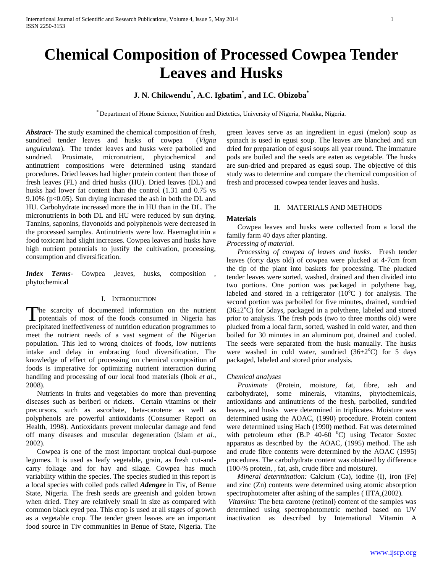# **Chemical Composition of Processed Cowpea Tender Leaves and Husks**

# **J. N. Chikwendu\* , A.C. Igbatim\* , and I.C. Obizoba\***

\* Department of Home Science, Nutrition and Dietetics, University of Nigeria, Nsukka, Nigeria.

*Abstract***-** The study examined the chemical composition of fresh, sundried tender leaves and husks of cowpea (*Vigna unguiculata*). The tender leaves and husks were parboiled and sundried. Proximate, micronutrient, phytochemical and antinutrient compositions were determined using standard procedures. Dried leaves had higher protein content than those of fresh leaves (FL) and dried husks (HU). Dried leaves (DL) and husks had lower fat content than the control (1.31 and 0.75 vs 9.10% (p<0.05). Sun drying increased the ash in both the DL and HU. Carbohydrate increased more the in HU than in the DL. The micronutrients in both DL and HU were reduced by sun drying. Tannins, saponins, flavonoids and polyphenols were decreased in the processed samples. Antinutrients were low. Haemaglutinin a food toxicant had slight increases. Cowpea leaves and husks have high nutrient potentials to justify the cultivation, processing, consumption and diversification.

*Index Terms*- Cowpea ,leaves, husks, composition , phytochemical

# I. INTRODUCTION

he scarcity of documented information on the nutrient potentials of most of the foods consumed in Nigeria has The scarcity of documented information on the nutrient potentials of most of the foods consumed in Nigeria has precipitated ineffectiveness of nutrition education programmes to meet the nutrient needs of a vast segment of the Nigerian population. This led to wrong choices of foods, low nutrients intake and delay in embracing food diversification. The knowledge of effect of processing on chemical composition of foods is imperative for optimizing nutrient interaction during handling and processing of our local food materials (Ibok *et al*., 2008).

 Nutrients in fruits and vegetables do more than preventing diseases such as beriberi or rickets. Certain vitamins or their precursors, such as ascorbate, beta-carotene as well as polyphenols are powerful antioxidants (Consumer Report on Health, 1998). Antioxidants prevent molecular damage and fend off many diseases and muscular degeneration (Islam *et al.,* 2002).

 Cowpea is one of the most important tropical dual-purpose legumes. It is used as leafy vegetable, grain, as fresh cut-andcarry foliage and for hay and silage. Cowpea has much variability within the species. The species studied in this report is a local species with coiled pods called *Adengee* in Tiv, of Benue State, Nigeria. The fresh seeds are greenish and golden brown when dried. They are relatively small in size as compared with common black eyed pea. This crop is used at all stages of growth as a vegetable crop. The tender green leaves are an important food source in Tiv communities in Benue of State, Nigeria. The

green leaves serve as an ingredient in egusi (melon) soup as spinach is used in egusi soup. The leaves are blanched and sun dried for preparation of egusi soups all year round. The immature pods are boiled and the seeds are eaten as vegetable. The husks are sun-dried and prepared as egusi soup. The objective of this study was to determine and compare the chemical composition of fresh and processed cowpea tender leaves and husks.

# II. MATERIALS AND METHODS

#### **Materials**

 Cowpea leaves and husks were collected from a local the family farm 40 days after planting.

# *Processing of material.*

 *Processing of cowpea of leaves and husks.* Fresh tender leaves (forty days old) of cowpea were plucked at 4-7cm from the tip of the plant into baskets for processing. The plucked tender leaves were sorted, washed, drained and then divided into two portions. One portion was packaged in polythene bag, labeled and stored in a refrigerator  $(10^{\circ}C)$  for analysis. The second portion was parboiled for five minutes, drained, sundried  $(36\pm2\degree C)$  for 5days, packaged in a polythene, labeled and stored prior to analysis. The fresh pods (two to three months old) were plucked from a local farm, sorted, washed in cold water, and then boiled for 30 minutes in an aluminum pot, drained and cooled. The seeds were separated from the husk manually. The husks were washed in cold water, sundried  $(36\pm2\degree C)$  for 5 days packaged, labeled and stored prior analysis.

### *Chemical analyses*

 *Proximate* (Protein, moisture, fat, fibre, ash and carbohydrate), some minerals, vitamins, phytochemicals, antioxidants and antinutrients of the fresh, parboiled, sundried leaves, and husks were determined in triplicates. Moisture was determined using the AOAC, (1990) procedure. Protein content were determined using Hach (1990) method. Fat was determined with petroleum ether  $(B.P 40-60<sup>o</sup>C)$  using Tecator Soxtec apparatus as described by the AOAC, (1995) method. The ash and crude fibre contents were determined by the AOAC (1995) procedures. The carbohydrate content was obtained by difference (100-% protein, , fat, ash, crude fibre and moisture).

 *Mineral determination:* Calcium (Ca), iodine (I), iron (Fe) and zinc (Zn) contents were determined using atomic absorption spectrophotometer after ashing of the samples (IITA,(2002).

*Vitamins:* The beta carotene (retinol) content of the samples was determined using spectrophotometric method based on UV inactivation as described by International Vitamin A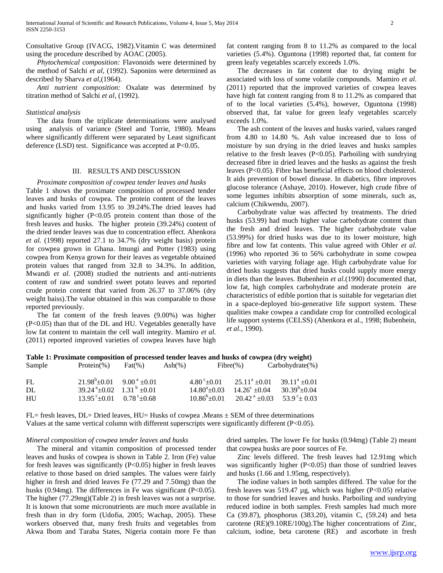Consultative Group (IVACG, 1982).Vitamin C was determined using the procedure described by AOAC (2005).

 *Phytochemical composition:* Flavonoids were determined by the method of Salchi *et al,* (1992). Saponins were determined as described by Sharva *et al*,(1964).

 *Anti nutrient composition:* Oxalate was determined by titration method of Salchi *et al*, (1992).

#### *Statistical analysis*

 The data from the triplicate determinations were analysed using analysis of variance (Steel and Torrie, 1980). Means where significantly different were separated by Least significant deference (LSD) test. Significance was accepted at P<0.05.

#### III. RESULTS AND DISCUSSION

 *Proximate composition of cowpea tender leaves and husks* Table 1 shows the proximate composition of processed tender leaves and husks of cowpea. The protein content of the leaves and husks varied from 13.95 to 39.24%.The dried leaves had significantly higher (P<0.05 protein content than those of the fresh leaves and husks. The higher protein (39.24%) content of the dried tender leaves was due to concentration effect. Ahenkora *et al.* (1998) reported 27.1 to 34.7% (dry weight basis) protein for cowpea grown in Ghana. Imungi and Potter (1983) using cowpea from Kenya grown for their leaves as vegetable obtained protein values that ranged from 32.8 to 34.3%. In addition, Mwandi *et al.* (2008) studied the nutrients and anti-nutrients content of raw and sundried sweet potato leaves and reported crude protein content that varied from 26.37 to 37.06% (dry weight baiss).The value obtained in this was comparable to those reported previously.

 The fat content of the fresh leaves (9.00%) was higher (P<0.05) than that of the DL and HU. Vegetables generally have low fat content to maintain the cell wall integrity. Mamiro *et al.* (2011) reported improved varieties of cowpea leaves have high fat content ranging from 8 to 11.2% as compared to the local varieties (5.4%). Oguntona (1998) reported that, fat content for green leafy vegetables scarcely exceeds 1.0%.

 The decreases in fat content due to drying might be associated with loss of some volatile compounds. Mamiro *et al.* (2011) reported that the improved varieties of cowpea leaves have high fat content ranging from 8 to 11.2% as compared that of to the local varieties (5.4%), however, Oguntona (1998) observed that, fat value for green leafy vegetables scarcely exceeds 1.0%.

 The ash content of the leaves and husks varied, values ranged from 4.80 to 14.80 %. Ash value increased due to loss of moisture by sun drying in the dried leaves and husks samples relative to the fresh leaves (P<0.05). Parboiling with sundrying decreased fibre in dried leaves and the husks as against the fresh leaves (P<0.05). Fibre has beneficial effects on blood cholesterol. It aids prevention of bowel disease. In diabetics, fibre improves glucose tolerance (Ashaye, 2010). However, high crude fibre of some legumes inhibits absorption of some minerals, such as, calcium (Chikwendu, 2007).

 Carbohydrate value was affected by treatments. The dried husks (53.99) had much higher value carbohydrate content than the fresh and dried leaves. The higher carbohydrate value (53.99%) for dried husks was due to its lower moisture, high fibre and low fat contents. This value agreed with Ohler *et al.* (1996) who reported 36 to 56% carbohydrate in some cowpea varieties with varying foliage age. High carbohydrate value for dried husks suggests that dried husks could supply more energy in diets than the leaves. Bubenhein *et al.*(1990) documented that, low fat, high complex carbohydrate and moderate protein are characteristics of edible portion that is suitable for vegetarian diet in a space-deployed bio-generative life support system. These qualities make cowpea a candidate crop for controlled ecological life support systems (CELSS) (Ahenkora et al., 1998; Bubenhein, *et al.,* 1990).

| Sample    | Protein $(\%)$                                   | $\text{Fat}(\%)$ | Ash $(\%)$             | $Fibre(\%)$                | $Carbohydrate(\%)$     |
|-----------|--------------------------------------------------|------------------|------------------------|----------------------------|------------------------|
| FL        | $21.98^{\circ} \pm 0.01$ $9.00^{\circ} \pm 0.01$ |                  | $4.80^{\circ}+0.01$    | $25.11^{\circ}$ +0.01      | $39.11^a \pm 0.01$     |
| DL.       | $39.24^{a} \pm 0.02$ $1.31^{b} \pm 0.01$         |                  | $14.80^{\circ}$ + 0.03 | $14.26^{\circ}$ $\pm 0.04$ | $30.39^b \pm 0.04$     |
| <b>HU</b> | $13.95^{\circ}+0.01$ 0.78 <sup>c</sup> +0.68     |                  | $10.86^{\circ}$ ± 0.01 | $20.42^{\text{ a}}\pm0.03$ | 53.9 $^{\circ}$ ± 0.03 |

 $FL =$  fresh leaves,  $DL =$  Dried leaves,  $HU =$  Husks of cowpea .Means  $\pm$  SEM of three determinations Values at the same vertical column with different superscripts were significantly different (P<0.05).

#### *Mineral composition of cowpea tender leaves and husks*

 The mineral and vitamin composition of processed tender leaves and husks of cowpea is shown in Table 2. Iron (Fe) value for fresh leaves was significantly (P<0.05) higher in fresh leaves relative to those based on dried samples. The values were fairly higher in fresh and dried leaves Fe (77.29 and 7.50mg) than the husks (0.94mg). The differences in Fe was significant (P<0.05). The higher (77.29mg)(Table 2) in fresh leaves was not a surprise. It is known that some micronutrients are much more available in fresh than in dry form (Udofia, 2005; Wachap, 2005). These workers observed that, many fresh fruits and vegetables from Akwa Ibom and Taraba States, Nigeria contain more Fe than

dried samples. The lower Fe for husks (0.94mg) (Table 2) meant that cowpea husks are poor sources of Fe.

 Zinc levels differed. The fresh leaves had 12.91mg which was significantly higher (P<0.05) than those of sundried leaves and husks (1.66 and 1.95mg, respectively).

 The iodine values in both samples differed. The value for the fresh leaves was 519.47  $\mu$ g, which was higher (P<0.05) relative to those for sundried leaves and husks. Parboiling and sundrying reduced iodine in both samples. Fresh samples had much more Ca (39.87), phosphorus (383.20), vitamin C, (59.24) and beta carotene (RE)(9.10RE/100g).The higher concentrations of Zinc, calcium, iodine, beta carotene (RE) and ascorbate in fresh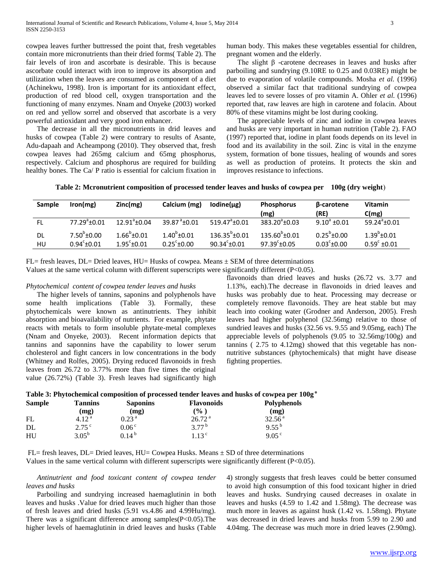cowpea leaves further buttressed the point that, fresh vegetables contain more micronutrients than their dried forms( Table 2). The fair levels of iron and ascorbate is desirable. This is because ascorbate could interact with iron to improve its absorption and utilization when the leaves are consumed as component of a diet (Achinekwu, 1998). Iron is important for its antioxidant effect, production of red blood cell, oxygen transportation and the functioning of many enzymes. Nnam and Onyeke (2003) worked on red and yellow sorrel and observed that ascorbate is a very powerful antioxidant and very good iron enhancer.

 The decrease in all the micronutrients in drid leaves and husks of cowpea (Table 2) were contrary to results of Asante, Adu-dapaah and Acheampong (2010). They observed that, fresh cowpea leaves had 265mg calcium and 65mg phosphorus, respectively. Calcium and phosphorus are required for building healthy bones. The Ca/ P ratio is essential for calcium fixation in human body. This makes these vegetables essential for children, pregnant women and the elderly.

The slight  $\beta$  -carotene decreases in leaves and husks after parboiling and sundrying (9.10RE to 0.25 and 0.03RE) might be due to evaporation of volatile compounds. Mosha *et al.* (1996) observed a similar fact that traditional sundrying of cowpea leaves led to severe losses of pro vitamin A. Ohler *et al.* (1996) reported that, raw leaves are high in carotene and folacin. About 80% of these vitamins might be lost during cooking.

 The appreciable levels of zinc and iodine in cowpea leaves and husks are very important in human nutrition (Table 2). FAO (1997) reported that, iodine in plant foods depends on its level in food and its availability in the soil. Zinc is vital in the enzyme system, formation of bone tissues, healing of wounds and sores as well as production of proteins. It protects the skin and improves resistance to infections.

Table 2: Mcronutrient composition of processed tender leaves and husks of cowpea per 100g (dry weight)

| Sample    | lron(mg)                                  | Zinc(mg)                                      | Calcium (mg)                                 | lodine(ug)                                   | <b>Phosphorus</b><br>(mg)                    | <b>B-carotene</b><br>(RE)                    | <b>Vitamin</b><br>C(mg)                   |
|-----------|-------------------------------------------|-----------------------------------------------|----------------------------------------------|----------------------------------------------|----------------------------------------------|----------------------------------------------|-------------------------------------------|
| FL.       | $77.29^{\circ}$ +0.01                     | $12.91^{\circ}$ +0.04                         | 39.87 <sup>a</sup> +0.01                     | $519.47^{\circ}$ +0.01                       | $383.20^{a} + 0.03$                          | $9.10^{\circ}$ +0.01                         | $59.24^{\circ}+0.01$                      |
| DL.<br>HU | $7.50^{b} + 0.00$<br>$0.94^{\circ}$ ±0.01 | $1.66^{\circ}$ + 0.01<br>$1.95^{\circ}$ ±0.01 | $1.40^{\circ}$ +0.01<br>$0.25^{\circ}$ ±0.00 | $136.35^{b} + 0.01$<br>$90.34^{\circ}$ ±0.01 | $135.60^{\circ}$ ±0.01<br>$97.39^{c} + 0.05$ | $0.25^{\circ}$ +0.00<br>$0.03^{\circ}$ ±0.00 | $1.39^{b} + 0.01$<br>$0.59^{\circ}$ ±0.01 |

 $FL =$  fresh leaves,  $DL =$  Dried leaves,  $HU =$  Husks of cowpea. Means  $\pm$  SEM of three determinations

Values at the same vertical column with different superscripts were significantly different (P<0.05).

#### *Phytochemical content of cowpea tender leaves and husks*

 The higher levels of tannins, saponins and polyphenols have some health implications (Table 3). Formally, these phytochemicals were known as antinutrients. They inhibit absorption and bioavailability of nutrients. For example, phytate reacts with metals to form insoluble phytate-metal complexes (Nnam and Onyeke, 2003). Recent information depicts that tannins and saponnins have the capability to lower serum cholesterol and fight cancers in low concentrations in the body (Whitney and Rolfes, 2005). Drying reduced flavonoids in fresh leaves from 26.72 to 3.77% more than five times the original value (26.72%) (Table 3). Fresh leaves had significantly high

flavonoids than dried leaves and husks (26.72 vs. 3.77 and 1.13%, each).The decrease in flavonoids in dried leaves and husks was probably due to heat. Processing may decrease or completely remove flavonoids. They are heat stable but may leach into cooking water (Grodner and Anderson, 2005). Fresh leaves had higher polyphenol (32.56mg) relative to those of sundried leaves and husks (32.56 vs. 9.55 and 9.05mg, each) The appreciable levels of polyphenols (9.05 to 32.56mg/100g) and tannins ( 2.75 to 4.12mg) showed that this vegetable has nonnutritive substances (phytochemicals) that might have disease fighting properties.

# **Table 3: Phytochemical composition of processed tender leaves and husks of cowpea per 100g**٭

| <b>Sample</b> | Tannins           | <b>Saponins</b>   | <b>Flavonoids</b>  | <b>Polyphenols</b> |
|---------------|-------------------|-------------------|--------------------|--------------------|
|               | (mg)              | (mg)              | $\frac{1}{2}$      | (mg)               |
| FL            | 4.12 <sup>a</sup> | 0.23 <sup>a</sup> | 26.72 <sup>a</sup> | 32.56 <sup>a</sup> |
| DL            | $2.75$ $\degree$  | 0.06 <sup>c</sup> | 377 <sup>b</sup>   | $9.55^{b}$         |
| HU            | $3.05^{b}$        | $0.14^{b}$        | $1.13$ $\degree$   | 9.05 <sup>c</sup>  |

FL= fresh leaves, DL= Dried leaves, HU= Cowpea Husks. Means  $\pm$  SD of three determinations Values in the same vertical column with different superscripts were significantly different (P<0.05).

 *Antinutrient and food toxicant content of cowpea tender leaves and husks*

 Parboiling and sundrying increased haemaglutinin in both leaves and husks .Value for dried leaves much higher than those of fresh leaves and dried husks (5.91 vs.4.86 and 4.99Hu/mg). There was a significant difference among samples(P<0.05).The higher levels of haemaglutinin in dried leaves and husks (Table

4) strongly suggests that fresh leaves could be better consumed to avoid high consumption of this food toxicant higher in dried leaves and husks. Sundrying caused decreases in oxalate in leaves and husks (4.59 to 1.42 and 1.58mg). The decrease was much more in leaves as against husk (1.42 vs. 1.58mg). Phytate was decreased in dried leaves and husks from 5.99 to 2.90 and 4.04mg. The decrease was much more in dried leaves (2.90mg).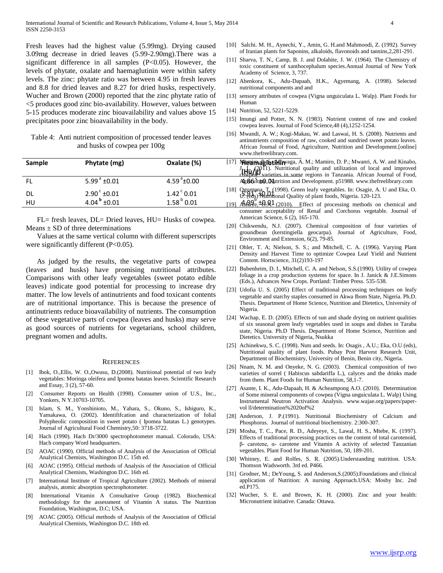Fresh leaves had the highest value (5.99mg). Drying caused 3.09mg decrease in dried leaves (5.99-2.90mg).There was a significant difference in all samples  $(P<0.05)$ . However, the levels of phytate, oxalate and haemaglutinin were within safety levels. The zinc: phytate ratio was between 4.95 in fresh leaves and 8.8 for dried leaves and 8.27 for dried husks, respectively. Wucher and Brown (2000) reported that the zinc phytate ratio of <5 produces good zinc bio-availability. However, values between 5-15 produces moderate zinc bioavailability and values above 15 precipitates poor zinc bioavailability in the body.

Table 4: Anti nutrient composition of processed tender leaves and husks of cowpea per 100g

| Sample   | Phytate (mg)                           | Oxalate (%)                            | [17] Mreaim Beleti Mhwaga, A. M.; Mamiro, D. P.; Mwanri, A. W. and Kinabo,<br>$J_{(1)}$ (2011). Nutritional quality and utilization of local and improved<br>complex varieties in some regions in Tanzania. African Journal of Food,                                           |
|----------|----------------------------------------|----------------------------------------|--------------------------------------------------------------------------------------------------------------------------------------------------------------------------------------------------------------------------------------------------------------------------------|
|          | $5.99^{\degree}$ ±0.01                 | $4.59^{\degree}$ ±0.00                 | Aconitute, Olutrition and Development. p51988. www.thefreelibrary.com                                                                                                                                                                                                          |
| DL<br>HU | $2.90^{\circ}$ ±0.01<br>4.04 $b$ ±0.01 | $1.42^{\circ}$ 0.01<br>$1.58^{b}$ 0.01 | [18] Oguntona, T. (1998). Green leafy vegetables. In: Osagie, A. U and Eka, O.<br>U. (245) Wuth tional Quality of plant foods, Nigeria. 120-123.<br>[19] $\frac{A_1 Q Q}{C_1}$ $\stackrel{\text{d}}{=} \frac{Q_1 Q}{C_1}$ (2010). Effect of processing methods on chemical and |

 FL= fresh leaves, DL= Dried leaves, HU= Husks of cowpea.  $Means \pm SD$  of three determinations

 Values at the same vertical column with different superscripts were significantly different (P<0.05).

 As judged by the results, the vegetative parts of cowpea (leaves and husks) have promising nutritional attributes. Comparisons with other leafy vegetables (sweet potato edible leaves) indicate good potential for processing to increase dry matter. The low levels of antinutrients and food toxicant contents are of nutritional importance. This is because the presence of antinutrients reduce bioavailability of nutrients. The consumption of these vegetative parts of cowpea (leaves and husks) may serve as good sources of nutrients for vegetarians, school children, pregnant women and adults.

#### **REFERENCES**

- [1] Ibok, O.,Ellis, W. O.,Owusu, D.(2008). Nutritional potential of two leafy vegetables: Moringa oleifera and Ipomea batatas leaves. Scientific Research and Essay, 3 (2), 57-60.
- [2] Consumer Reports on Health (1998). Consumer union of U.S., Inc., Yonkers, N Y.10703-10705.
- [3] Islam, S. M., Yonshinioto, M., Yahara, S., Okuno, S., Ishiguro, K., Yamakawa, O. (2002). Identififcation and characterization of folial Polypheolic composition in sweet potato ( Ipomea batatas L.) genotypes. Journal of Agricultural Food Chemistry,50: 3718-3722.
- [4] Hach (1990). Hach Dr/3000 spectrophotometer manual. Colorado, USA: Hach company Word headquarters.
- [5] AOAC (1990). Official methods of Analysis of the Association of Official Analytical Chemists, Washington D.C. 15th ed.
- [6] AOAC (1995). Official methods of Analysis of the Association of Official Analytical Chemists, Washington D.C. 16th ed.
- [7] International Institute of Tropical Agriculture (2002). Methods of mineral analysis, atomic absorption spectrophotometer.
- [8] International Vitamin A Consultative Group (1982). Biochemical methodology for the assessment of Vitamin A status. The Nutrition Foundation, Washington, D.C; USA.
- [9] AOAC (2005). Official methods of Analysis of the Association of Official Analytical Chemists, Washington D.C. 18th ed.
- [10] Salchi. M. H., Aynechi, Y., Amin, G. H.and Mahmoodi, Z. (1992). Survey of Iranian plants for Saponins, alkaloids, flavonoids and tannins,2,281-291.
- [11] Sharva, T. N., Camp, B. J. and Dolahite, J. W. (1964). The Chemistry of toxic constituent of xanthocephalum species.Annual Journal of New York Academy of Science, 3, 737.
- [12] Ahenkora, K., Adu-Dapaah, H.K., Agyemang, A. (1998). Selected nutritional components and and
- [13] sensory attributes of cowpea (Vigna unguiculata L. Walp). Plant Foods for Human
- [14] Nutrition, 52, 5221-5229.
- [15] Imungi and Potter, N. N. (1983). Nutrient content of raw and cooked cowpea leaves. Journal of Food Science,48 (4),1252-1254.
- [16] Mwandi, A. W.; Kogi-Makau, W. and Laswai, H. S. (2008). Nutrients and antinutrients composition of raw, cooked and sundried sweet potato leaves. African Journal of Food, Agriculture, Nutrition and Development.[online] www.thefreelibrary.com.
- **(Hu/g)**<br> **(Hu/g)** varieties in some regions in Tanzania, African Journal of Food ±0.00 4.86 <sup>c</sup> ±0.01 Agriculture, Nutrition and Development. p51988. www.thefreelibrary.com cowper varieties in some regions in Tanzania. African Journal of Food,
- [18] Oguntona, T. (1998). Green leafy vegetables. In: Osagie, A. U and Eka, O.<br>
(1994). [18] Oguntonal Ouality of plant foods. Nigeria. 120-123. U. (eds) Nutritional Quality of plant foods, Nigeria. 120-123.
- $\frac{0.01}{19}$   $\frac{A_{3}^{10}Q_{9}^{10} + 0.01}{A_{3}^{10}Q_{9}^{10} + 0.01}$ . Effect of processing methods on chemical and consumer acceptability of Renaf and Corchorus vegetable. Journal of American Science, 6 (2), 165-170.
	- [20] Chikwendu, N.J. (2007). Chemical composition of four varieties of groundbean (kerstingiella geocarpa). Journal of Agriculture, Food, Environment and Extension, 6(2), 79-85.
	- [21] Ohler, T. A; Nielson, S. S.; and Mitchell, C. A. (1996). Varying Plant Density and Harvest Time to optimize Cowpea Leaf Yield and Nutrient Content. Hortscience, 31(2)193-197
	- [22] Bubenheim, D. I., Mitchell, C. A. and Nelson, S.S.(1990). Utility of cowpea foliage in a crop production systems for space. In J. Janick & J.E.Simons (Eds.), Advances New Crops. Portland: Timber Press. 535-538.
	- [23] Udofia U. S. (2005) Effect of traditional processing techniques on leafy vegetable and starchy staples consumed in Akwa Ibom State, Nigeria. Ph.D. Thesis. Department of Home Science, Nutrition and Dietetics, University of Nigeria.
	- [24] Wachap, E. D. (2005). Effects of sun and shade drying on nutrient qualities of six seasonal green leafy vegetables used in soups and dishes in Taraba state, Nigeria. Ph.D Thesis. Department of Home Science, Nutrition and Dietetics. University of Nigeria, Nsukka
	- [25] Achinekwu, S. C. (1998). Nuts and seeds. In: Osagis, A.U.; Eka, O.U (eds), Nutritional quality of plant foods. Pubay Post Harvest Research Unit, Department of Biochemistry, University of Benin, Benin city, Nigeria.
	- [26] Nnam, N. M. and Onyeke, N. G. (2003). Chemical composition of two varieties of sorrel ( Habiscus sabdariffa L.), calyces and the drinks made from them. Plant Foods for Human Nutrition, 58,1-7.
	- [27] Asante, I. K., Adu-Dapaah, H. & Acheampong A.O. (2010). Determination of Some mineral components of cowpea (Vigna unguiculata L. Walp) Using Instrumental Neutron Activation Analysis. www.wajae.org/papers/papervol ll/determination%2020of%2
	- [28] Anderson, J. P.(1991). Nutritional Biochemistry of Calcium and Phosphorus. Journal of nutritional biochemistry. 2:300-307.
	- [29] Mosha, T. C., Pace, R. D., Adeyeye, S., Lawal, H. S., Mtebe, K. (1997). Effects of traditional processing practices on the content of total carotenoid, β- carotene, α- carotene and Vitamin A activity of selected Tanzanian vegetables. Plant Food for Human Nutrition, 50, 189-201.
	- [30] Whitney, E. and Rolfes, S. R. (2005). Understanding nutrition. USA: Thomson Wadsworth. 3rd ed. P466.
	- [31] Grodner, M.; DeYoung, S. and Anderson, S. (2005). Foundations and clinical application of Nutrition: A nursing Approach.USA: Mosby Inc. 2nd ed.P175.
	- [32] Wucher, S. E. and Brown, K. H. (2000). Zinc and your health: Micronutrient initiative. Canada: Ottawa.